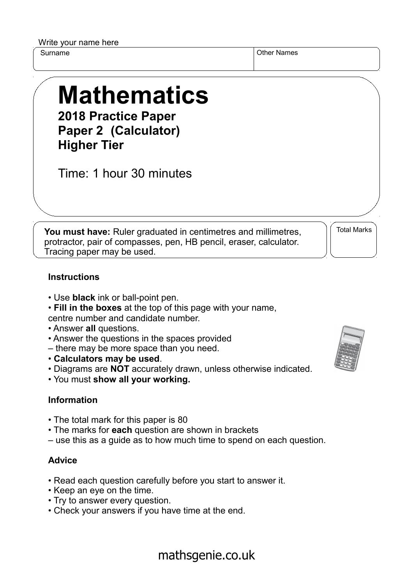Write your name here

Surname **Other Names** Other Names

# **Mathematics 2018 Practice Paper**

**Paper 2 (Calculator) Higher Tier**

Time: 1 hour 30 minutes

**You must have:** Ruler graduated in centimetres and millimetres, protractor, pair of compasses, pen, HB pencil, eraser, calculator. Tracing paper may be used.

Total Marks

### **Instructions**

- Use **black** ink or ball-point pen.
- **Fill in the boxes** at the top of this page with your name, centre number and candidate number.
- Answer **all** questions.
- Answer the questions in the spaces provided
- there may be more space than you need.
- **Calculators may be used**.
- Diagrams are **NOT** accurately drawn, unless otherwise indicated.
- You must **show all your working.**

#### **Information**

- The total mark for this paper is 80
- The marks for **each** question are shown in brackets
- use this as a guide as to how much time to spend on each question.

#### **Advice**

- Read each question carefully before you start to answer it.
- Keep an eye on the time.
- Try to answer every question.
- Check your answers if you have time at the end.



## mathsgenie.co.uk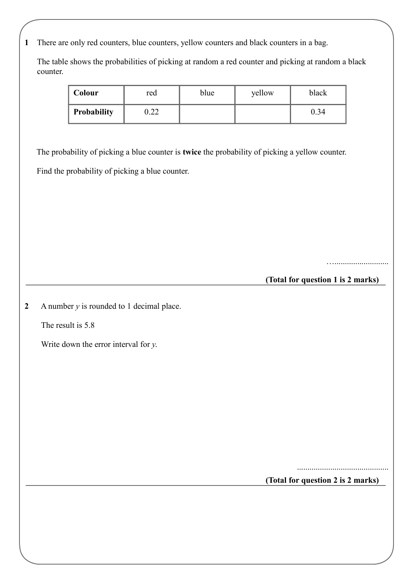**1** There are only red counters, blue counters, yellow counters and black counters in a bag.

 The table shows the probabilities of picking at random a red counter and picking at random a black counter.

| Colour      | red        | blue | yellow | black |
|-------------|------------|------|--------|-------|
| Probability | ററ<br>0.ZZ |      |        | 0.34  |

The probability of picking a blue counter is **twice** the probability of picking a yellow counter.

Find the probability of picking a blue counter.

…..........................

**(Total for question 1 is 2 marks)**

**2** A number *y* is rounded to 1 decimal place.

The result is 5.8

Write down the error interval for *y*.

**(Total for question 2 is 2 marks)**

............................................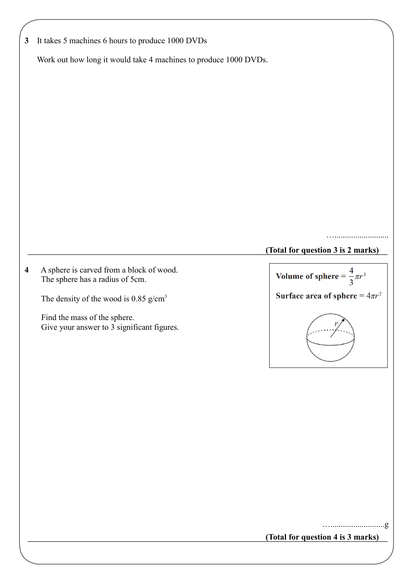| $\mathbf{3}$            | It takes 5 machines 6 hours to produce 1000 DVDs                            |                                         |
|-------------------------|-----------------------------------------------------------------------------|-----------------------------------------|
|                         | Work out how long it would take 4 machines to produce 1000 DVDs.            |                                         |
|                         |                                                                             |                                         |
|                         |                                                                             |                                         |
|                         |                                                                             |                                         |
|                         |                                                                             |                                         |
|                         |                                                                             |                                         |
|                         |                                                                             |                                         |
|                         |                                                                             |                                         |
|                         |                                                                             |                                         |
|                         |                                                                             |                                         |
|                         |                                                                             | (Total for question 3 is 2 marks)       |
|                         |                                                                             |                                         |
| $\overline{\mathbf{4}}$ | A sphere is carved from a block of wood.<br>The sphere has a radius of 5cm. | Volume of sphere = $\frac{4}{3}\pi r^3$ |
|                         | The density of the wood is 0.85 $g/cm3$                                     | Surface area of sphere = $4\pi r^2$     |
|                         | Find the mass of the sphere.<br>Give your answer to 3 significant figures.  |                                         |
|                         |                                                                             |                                         |
|                         |                                                                             |                                         |
|                         |                                                                             |                                         |
|                         |                                                                             |                                         |
|                         |                                                                             |                                         |
|                         |                                                                             |                                         |
|                         |                                                                             |                                         |
|                         |                                                                             |                                         |
|                         |                                                                             |                                         |
|                         |                                                                             |                                         |
|                         |                                                                             | $\cdot$ g                               |
|                         |                                                                             | (Total for question 4 is 3 marks)       |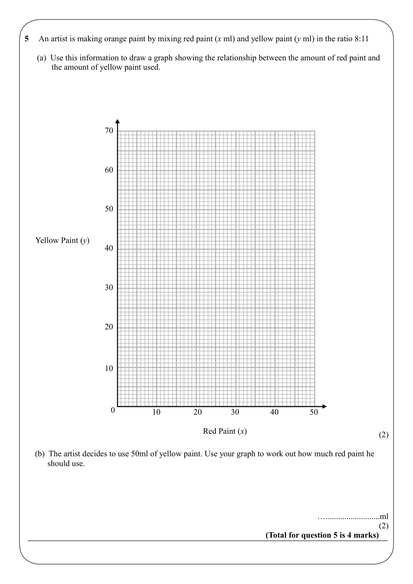- **5** An artist is making orange paint by mixing red paint (*x* ml) and yellow paint (*y* ml) in the ratio 8:11
	- (a) Use this information to draw a graph showing the relationship between the amount of red paint and the amount of yellow paint used.

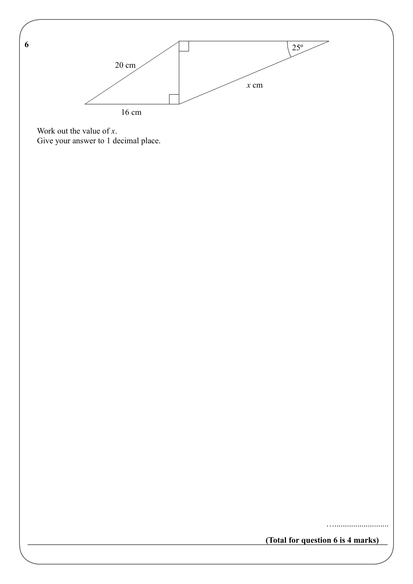

 Work out the value of *x*. Give your answer to 1 decimal place.

**6** 

…..........................

**(Total for question 6 is 4 marks)**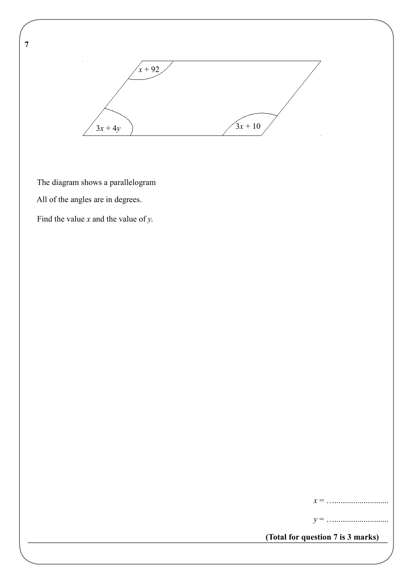

The diagram shows a parallelogram

All of the angles are in degrees.

**7** 

Find the value *x* and the value of *y*.

*x* = …..........................

*y* = …..........................

**(Total for question 7 is 3 marks)**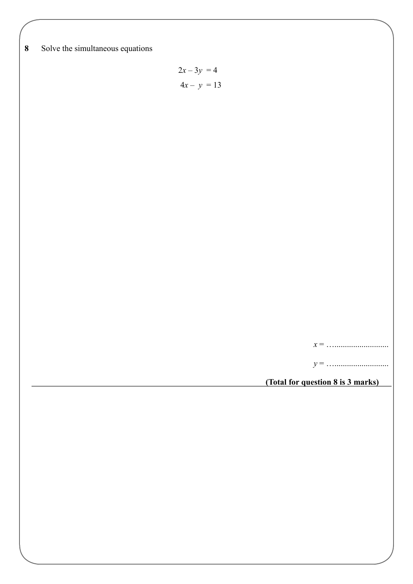**8** Solve the simultaneous equations

$$
2x - 3y = 4
$$

$$
4x - y = 13
$$

*x* = …..........................

*y* = …..........................

**(Total for question 8 is 3 marks)**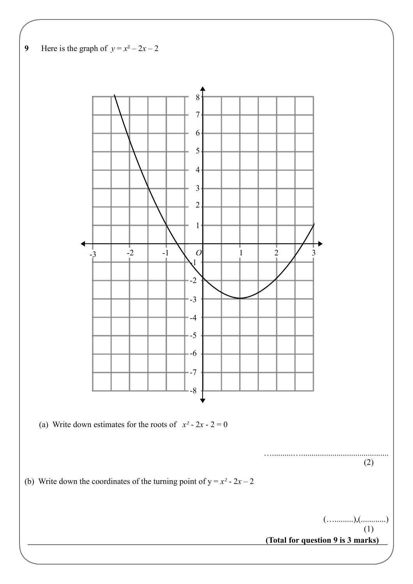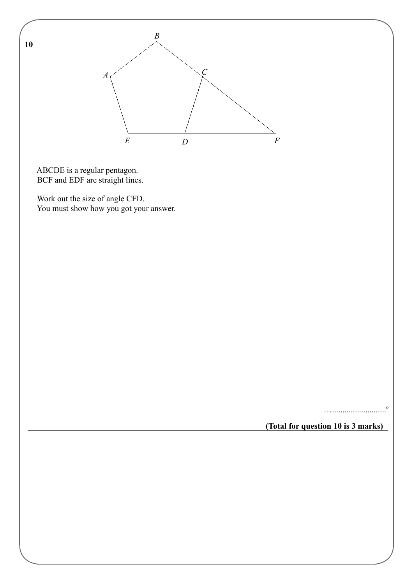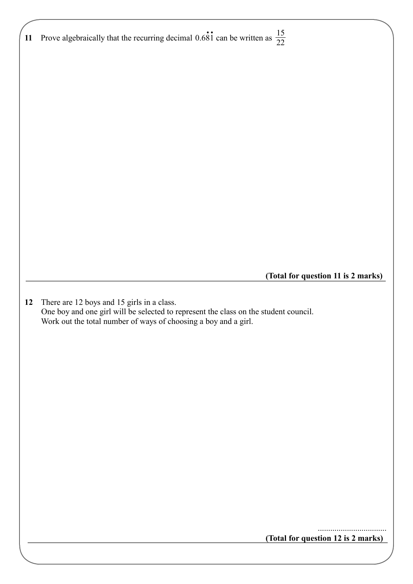| 11 Prove algebraically that the recurring decimal 0.681 can be written as $\frac{15}{22}$                                                               |                                    |
|---------------------------------------------------------------------------------------------------------------------------------------------------------|------------------------------------|
|                                                                                                                                                         |                                    |
|                                                                                                                                                         |                                    |
|                                                                                                                                                         |                                    |
|                                                                                                                                                         |                                    |
|                                                                                                                                                         |                                    |
|                                                                                                                                                         |                                    |
|                                                                                                                                                         |                                    |
|                                                                                                                                                         |                                    |
|                                                                                                                                                         |                                    |
|                                                                                                                                                         |                                    |
|                                                                                                                                                         |                                    |
|                                                                                                                                                         |                                    |
|                                                                                                                                                         |                                    |
|                                                                                                                                                         |                                    |
|                                                                                                                                                         |                                    |
|                                                                                                                                                         |                                    |
|                                                                                                                                                         |                                    |
| (Total for question 11 is 2 marks)                                                                                                                      |                                    |
|                                                                                                                                                         |                                    |
| There are 12 boys and 15 girls in a class.<br>12                                                                                                        |                                    |
| One boy and one girl will be selected to represent the class on the student council.<br>Work out the total number of ways of choosing a boy and a girl. |                                    |
|                                                                                                                                                         |                                    |
|                                                                                                                                                         |                                    |
|                                                                                                                                                         |                                    |
|                                                                                                                                                         |                                    |
|                                                                                                                                                         |                                    |
|                                                                                                                                                         |                                    |
|                                                                                                                                                         |                                    |
|                                                                                                                                                         |                                    |
|                                                                                                                                                         |                                    |
|                                                                                                                                                         |                                    |
|                                                                                                                                                         |                                    |
|                                                                                                                                                         |                                    |
|                                                                                                                                                         |                                    |
|                                                                                                                                                         |                                    |
|                                                                                                                                                         |                                    |
|                                                                                                                                                         | (Total for question 12 is 2 marks) |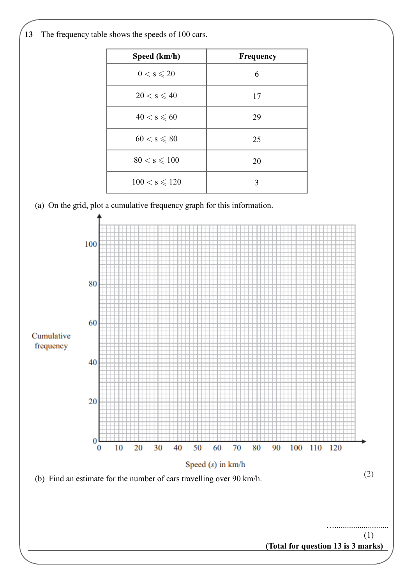

| Speed (km/h)           | <b>Frequency</b> |
|------------------------|------------------|
| $0 < s \leqslant 20$   | 6                |
| $20 < s \leqslant 40$  | 17               |
| $40 < s \leqslant 60$  | 29               |
| $60 < s \leqslant 80$  | 25               |
| $80 < s \leqslant 100$ | 20               |
| $100 < s \le 120$      | 3                |

(a) On the grid, plot a cumulative frequency graph for this information.

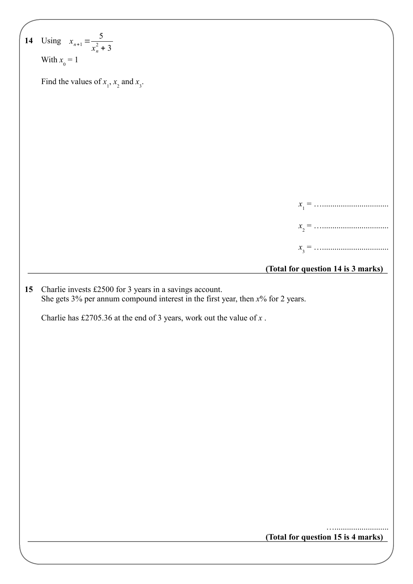|    | 14 Using $x_{n+1} = \frac{5}{x_n^2 + 3}$                                                                                                         |
|----|--------------------------------------------------------------------------------------------------------------------------------------------------|
|    | With $x_0 = 1$                                                                                                                                   |
|    | Find the values of $x_1$ , $x_2$ and $x_3$ .                                                                                                     |
|    |                                                                                                                                                  |
|    |                                                                                                                                                  |
|    |                                                                                                                                                  |
|    |                                                                                                                                                  |
|    |                                                                                                                                                  |
|    |                                                                                                                                                  |
|    |                                                                                                                                                  |
|    |                                                                                                                                                  |
|    |                                                                                                                                                  |
|    |                                                                                                                                                  |
|    |                                                                                                                                                  |
|    | (Total for question 14 is 3 marks)                                                                                                               |
| 15 | Charlie invests £2500 for 3 years in a savings account.<br>She gets $3\%$ per annum compound interest in the first year, then $x\%$ for 2 years. |
|    | Charlie has £2705.36 at the end of 3 years, work out the value of $x$ .                                                                          |
|    |                                                                                                                                                  |
|    |                                                                                                                                                  |
|    |                                                                                                                                                  |
|    |                                                                                                                                                  |
|    |                                                                                                                                                  |
|    |                                                                                                                                                  |
|    |                                                                                                                                                  |
|    |                                                                                                                                                  |
|    |                                                                                                                                                  |
|    |                                                                                                                                                  |
|    |                                                                                                                                                  |
|    |                                                                                                                                                  |
|    |                                                                                                                                                  |
|    | (Total for question 15 is 4 marks)                                                                                                               |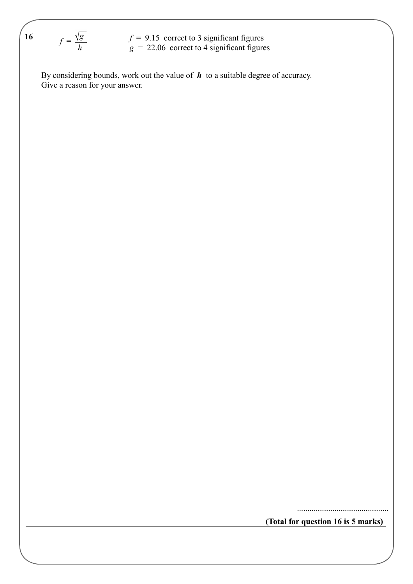$$
f = \frac{\sqrt{g}}{h}
$$

 $f = 9.15$  correct to 3 significant figures  $g = 22.06$  correct to 4 significant figures

 Give a reason for your answer. By considering bounds, work out the value of *h* to a suitable degree of accuracy.

**(Total for question 16 is 5 marks)**

............................................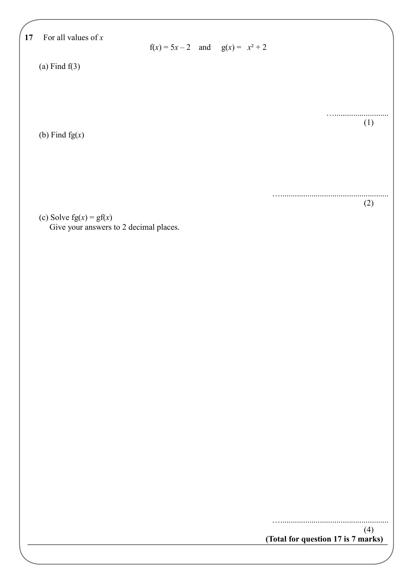| 17 | For all values of $x$                  | $f(x) = 5x - 2$ and $g(x) = x^2 + 2$ |  |                                             |
|----|----------------------------------------|--------------------------------------|--|---------------------------------------------|
|    | (a) Find $f(3)$                        |                                      |  |                                             |
|    |                                        |                                      |  |                                             |
|    |                                        |                                      |  | (1)                                         |
|    | (b) Find $fg(x)$                       |                                      |  |                                             |
|    |                                        |                                      |  |                                             |
|    |                                        |                                      |  |                                             |
|    | (c) Solve $fg(x) = gf(x)$              |                                      |  | (2)                                         |
|    | Give your answers to 2 decimal places. |                                      |  |                                             |
|    |                                        |                                      |  |                                             |
|    |                                        |                                      |  |                                             |
|    |                                        |                                      |  |                                             |
|    |                                        |                                      |  |                                             |
|    |                                        |                                      |  |                                             |
|    |                                        |                                      |  |                                             |
|    |                                        |                                      |  |                                             |
|    |                                        |                                      |  |                                             |
|    |                                        |                                      |  |                                             |
|    |                                        |                                      |  |                                             |
|    |                                        |                                      |  |                                             |
|    |                                        |                                      |  | (4)<br>(Total for question 17 is $7$ marks) |
|    |                                        |                                      |  |                                             |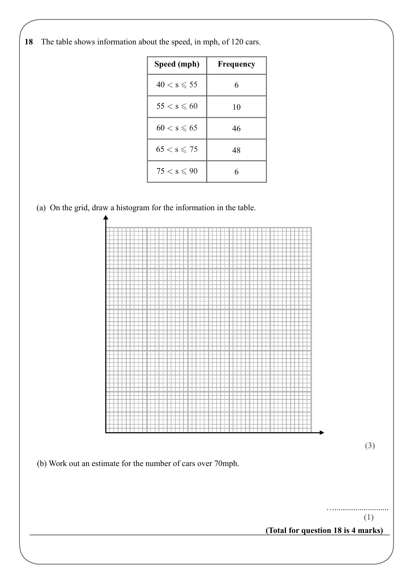**18** The table shows information about the speed, in mph, of 120 cars.

| Speed (mph)           | Frequency |
|-----------------------|-----------|
| $40 < s \leqslant 55$ | 6         |
| $55 < s \leqslant 60$ | 10        |
| $60 < s \leqslant 65$ | 46        |
| $65 < s \le 75$       | 48        |
| $75 < s \leqslant 90$ | 6         |

(a) On the grid, draw a histogram for the information in the table.



(1)

(3)

…..........................

**(Total for question 18 is 4 marks)**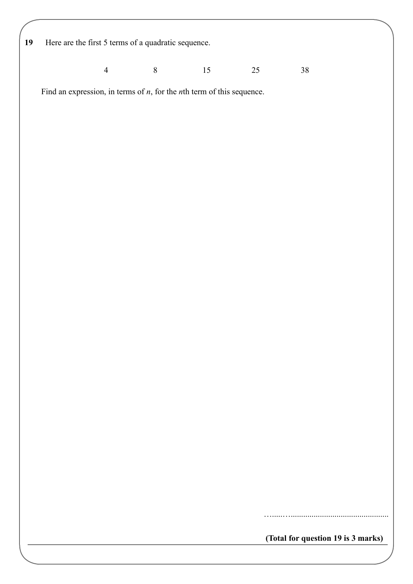**19** Here are the first 5 terms of a quadratic sequence.

4 8 15 25 38

Find an expression, in terms of *n*, for the *n*th term of this sequence.

**(Total for question 19 is 3 marks)**

………………………………………………………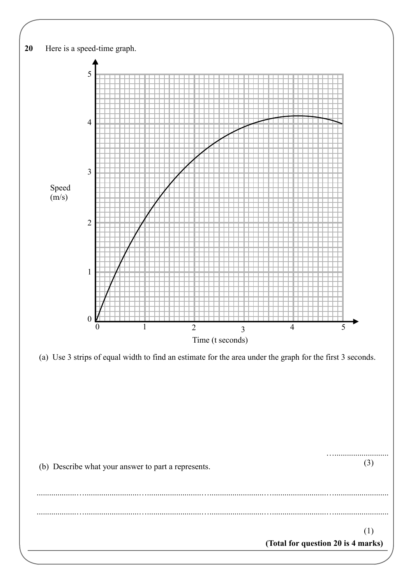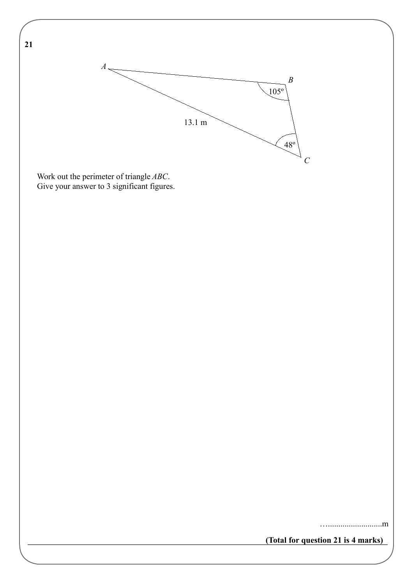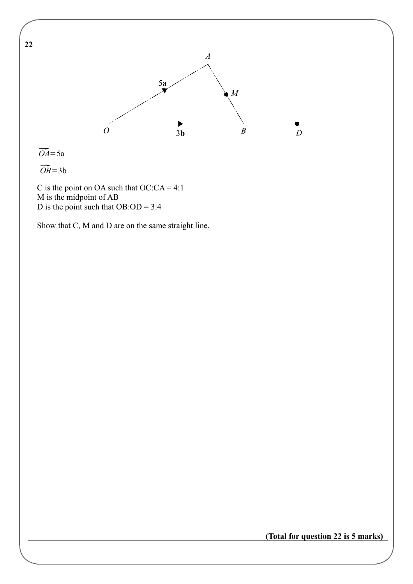

 $\overrightarrow{OA}$ =5a

 $\overrightarrow{OB}$ =3b

C is the point on OA such that  $OC:CA = 4:1$  M is the midpoint of AB D is the point such that  $OB:OD = 3:4$ 

Show that C, M and D are on the same straight line.

**(Total for question 22 is 5 marks)**

**22**